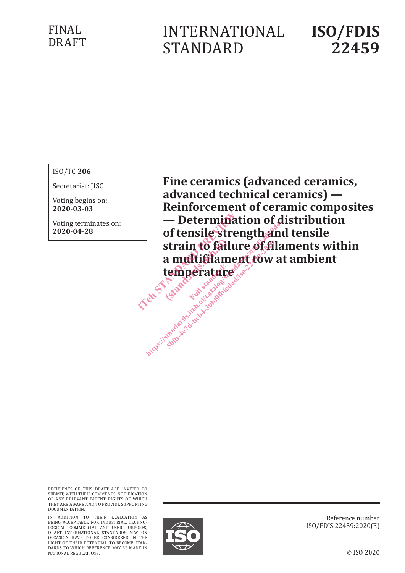### FINAL DRAFT

# INTERNATIONAL STANDARD

# **ISO/FDIS 22459**

ISO/TC **206**

Secretariat: JISC

Voting begins on: **2020**-**03**-**03**

Voting terminates on: **2020**-**04**-**28**

**Fine ceramics (advanced ceramics, advanced technical ceramics) — Reinforcement of ceramic composites — Determination of distribution of tensile strength and tensile strain to failure of filaments within a multifilament tow at ambient temperature** Determination of tensile streng<br>strain to failure<br>a multifilament<br>temperature strain to fail<br>a multifilam<br>temperature of tensile strength and<br>strain to failure of filament<br>a multifilament tow at<br>temperature strain to failure of file

RECIPIENTS OF THIS DRAFT ARE INVITED TO SUBMIT, WITH THEIR COMMENTS, NOTIFICATION OF ANY RELEVANT PATENT RIGHTS OF WHICH THEY ARE AWARE AND TO PROVIDE SUPPORTING **DOCUMENTATION** 

IN ADDITION TO THEIR EVALUATION AS<br>BEING ACCEPTABLE FOR INDUSTRIAL, TECHNO-<br>LOGICAL, COMMERCIAL AND USER PURPOSES,<br>DRAFT INTERNATIONAL STANDARDS MAY ON<br>OCCASION HAVE TO BE CONSIDERED IN THE<br>LIGHT OF THEIR POTENTIAL TO BECO DARDS TO WHICH REFERENCE MAY BE MADE IN NATIONAL REGULATIONS.



Reference number ISO/FDIS 22459:2020(E)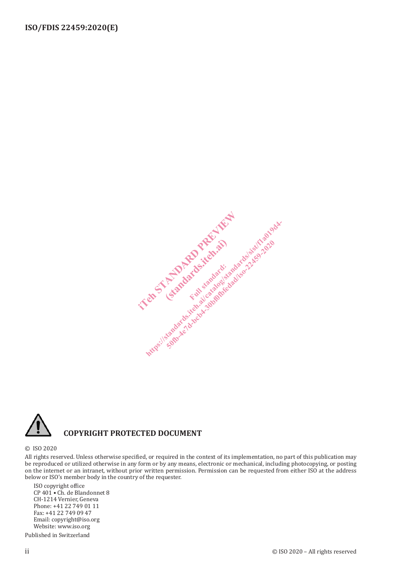



### **COPYRIGHT PROTECTED DOCUMENT**

#### © ISO 2020

All rights reserved. Unless otherwise specified, or required in the context of its implementation, no part of this publication may be reproduced or utilized otherwise in any form or by any means, electronic or mechanical, including photocopying, or posting on the internet or an intranet, without prior written permission. Permission can be requested from either ISO at the address below or ISO's member body in the country of the requester.

ISO copyright office CP 401 • Ch. de Blandonnet 8 CH-1214 Vernier, Geneva Phone: +41 22 749 01 11 Fax: +41 22 749 09 47 Email: copyright@iso.org Website: www.iso.org

Published in Switzerland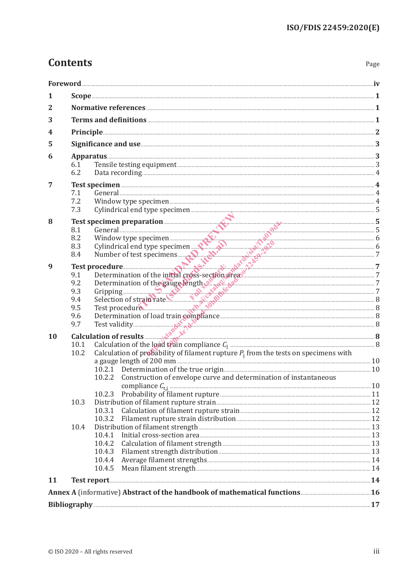## **Contents**

| 1         |                                                                                                                                                                                                                           |                                                                                                                                                                                                                                         |  |
|-----------|---------------------------------------------------------------------------------------------------------------------------------------------------------------------------------------------------------------------------|-----------------------------------------------------------------------------------------------------------------------------------------------------------------------------------------------------------------------------------------|--|
| 2         |                                                                                                                                                                                                                           |                                                                                                                                                                                                                                         |  |
| 3         |                                                                                                                                                                                                                           |                                                                                                                                                                                                                                         |  |
| 4         |                                                                                                                                                                                                                           |                                                                                                                                                                                                                                         |  |
| 5         |                                                                                                                                                                                                                           | Significance and use <b>Exercise and Significance</b> 3                                                                                                                                                                                 |  |
| 6         |                                                                                                                                                                                                                           |                                                                                                                                                                                                                                         |  |
|           | 6.1                                                                                                                                                                                                                       |                                                                                                                                                                                                                                         |  |
|           | 6.2                                                                                                                                                                                                                       |                                                                                                                                                                                                                                         |  |
| 7         |                                                                                                                                                                                                                           |                                                                                                                                                                                                                                         |  |
|           | 7.1                                                                                                                                                                                                                       |                                                                                                                                                                                                                                         |  |
|           | 7.2                                                                                                                                                                                                                       |                                                                                                                                                                                                                                         |  |
|           | 7.3                                                                                                                                                                                                                       |                                                                                                                                                                                                                                         |  |
| 8         | Test specimen preparation<br>8.1 General 5<br>8.2 Window type specimen<br>8.3 Cylindrical end type specimen<br>8.4 Number of test specimens<br>7 Test procedure 7<br>9.1 Determination of the initial cross-section area. |                                                                                                                                                                                                                                         |  |
|           |                                                                                                                                                                                                                           |                                                                                                                                                                                                                                         |  |
|           |                                                                                                                                                                                                                           |                                                                                                                                                                                                                                         |  |
|           |                                                                                                                                                                                                                           |                                                                                                                                                                                                                                         |  |
|           |                                                                                                                                                                                                                           |                                                                                                                                                                                                                                         |  |
| 9         |                                                                                                                                                                                                                           |                                                                                                                                                                                                                                         |  |
|           |                                                                                                                                                                                                                           |                                                                                                                                                                                                                                         |  |
|           | 9.2                                                                                                                                                                                                                       |                                                                                                                                                                                                                                         |  |
|           | 9.3                                                                                                                                                                                                                       |                                                                                                                                                                                                                                         |  |
|           | 9.4                                                                                                                                                                                                                       | Determination of the gauge length and a contract of the gauge length and a contract of strain rate of the contract of strain rate of the contract of strain rate of the contract of $\frac{1}{2}$ and $\frac{1}{2}$ are contract of $\$ |  |
|           | 9.5<br>9.6                                                                                                                                                                                                                |                                                                                                                                                                                                                                         |  |
|           |                                                                                                                                                                                                                           |                                                                                                                                                                                                                                         |  |
|           |                                                                                                                                                                                                                           | 9.7 Test validity 8                                                                                                                                                                                                                     |  |
| 10        |                                                                                                                                                                                                                           |                                                                                                                                                                                                                                         |  |
|           | 10.1<br>10.2                                                                                                                                                                                                              |                                                                                                                                                                                                                                         |  |
|           |                                                                                                                                                                                                                           | Calculation of probability of filament rupture $P_j$ from the tests on specimens with a gauge length of 200 mm $\ldots$                                                                                                                 |  |
|           |                                                                                                                                                                                                                           |                                                                                                                                                                                                                                         |  |
|           |                                                                                                                                                                                                                           | 10.2.2 Construction of envelope curve and determination of instantaneous                                                                                                                                                                |  |
|           |                                                                                                                                                                                                                           |                                                                                                                                                                                                                                         |  |
|           |                                                                                                                                                                                                                           | 10.2.3                                                                                                                                                                                                                                  |  |
|           | 10.3                                                                                                                                                                                                                      |                                                                                                                                                                                                                                         |  |
|           |                                                                                                                                                                                                                           | 10.3.1                                                                                                                                                                                                                                  |  |
|           |                                                                                                                                                                                                                           | 10.3.2                                                                                                                                                                                                                                  |  |
|           | 10.4                                                                                                                                                                                                                      | 10.4.1                                                                                                                                                                                                                                  |  |
|           |                                                                                                                                                                                                                           | 10.4.2 Calculation of filament strength <b>[2016]</b> All and the contract of the contract of the contract of the contract of the contract of the contract of the contract of the contract of the contract of the contract of the c     |  |
|           |                                                                                                                                                                                                                           | 10.4.3 Filament strength distribution <b>Manual Equation</b> 23                                                                                                                                                                         |  |
|           |                                                                                                                                                                                                                           | 10.4.4                                                                                                                                                                                                                                  |  |
|           |                                                                                                                                                                                                                           | 10.4.5                                                                                                                                                                                                                                  |  |
| <b>11</b> |                                                                                                                                                                                                                           |                                                                                                                                                                                                                                         |  |
|           |                                                                                                                                                                                                                           |                                                                                                                                                                                                                                         |  |
|           |                                                                                                                                                                                                                           |                                                                                                                                                                                                                                         |  |
|           |                                                                                                                                                                                                                           |                                                                                                                                                                                                                                         |  |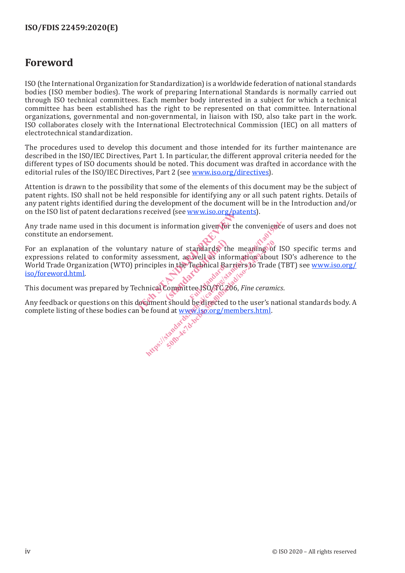### **Foreword**

ISO (the International Organization for Standardization) is a worldwide federation of national standards bodies (ISO member bodies). The work of preparing International Standards is normally carried out through ISO technical committees. Each member body interested in a subject for which a technical committee has been established has the right to be represented on that committee. International organizations, governmental and non-governmental, in liaison with ISO, also take part in the work. ISO collaborates closely with the International Electrotechnical Commission (IEC) on all matters of electrotechnical standardization.

The procedures used to develop this document and those intended for its further maintenance are described in the ISO/IEC Directives, Part 1. In particular, the different approval criteria needed for the different types of ISO documents should be noted. This document was drafted in accordance with the editorial rules of the ISO/IEC Directives, Part 2 (see www.iso.org/directives).

Attention is drawn to the possibility that some of the elements of this document may be the subject of patent rights. ISO shall not be held responsible for identifying any or all such patent rights. Details of any patent rights identified during the development of the document will be in the Introduction and/or on the ISO list of patent declarations received (see www.iso.org/patents).

Any trade name used in this document is information given for the convenience of users and does not constitute an endorsement.

For an explanation of the voluntary nature of standards, the meaning of ISO specific terms and expressions related to conformity assessment, as well as information about ISO's adherence to the World Trade Organization (WTO) principles in the Technical Barriers to Trade (TBT) see www.iso.org/<br>iso/foreword.html. iso/foreword.html. is received (see WWW.is0.019/paten<br>
ment is information given for the correction and the correction of standards, the meature<br>
interviews information in the Technical Barriers<br>
chnical Committee 150/1703206, Finder<br>
docume The contract of standards, the ment, as well as info<br>
s in the Technical Bar<br>
Ful state of the contract of the contract of the contract of the contract of the contract of the contract of the contract of the contract of the ht is information given for the convenience<br>w nature of standards, the meaning of IS<br>ssessment, as well as information about IS<br>nicels in the Technical Barriers to Trade (T<br>nicel Committee ISO/TC 206, Fine ceramics.<br>timent re of standards, the meaning of<br>the the Technical Barriers to Trade<br>in the Technical Barriers to Trade<br>committee 150/TG206, Fine ceram<br>should be directed to the user's n<br>d at www.jso.org/members.html.

This document was prepared by Technical Committee ISO/TC 206, *Fine ceramics*.

Any feedback or questions on this document should be directed to the user's national standards body. A complete listing of these bodies can be found at www.iso.org/members.html.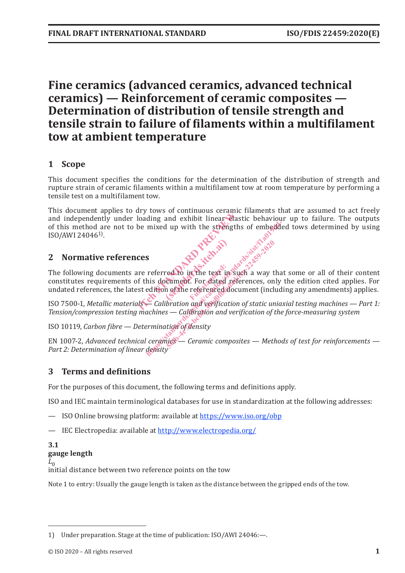### **Fine ceramics (advanced ceramics, advanced technical ceramics) — Reinforcement of ceramic composites — Determination of distribution of tensile strength and tensile strain to failure of filaments within a multifilament tow at ambient temperature**

### **1 Scope**

This document specifies the conditions for the determination of the distribution of strength and rupture strain of ceramic filaments within a multifilament tow at room temperature by performing a tensile test on a multifilament tow.

This document applies to dry tows of continuous ceramic filaments that are assumed to act freely and independently under loading and exhibit linear elastic behaviour up to failure. The outputs of this method are not to be mixed up with the strengths of embedded tows determined by using ISO/AWI 240461). it is the continuous cerame in<br>the mixed up with the strengths of<br>the mixed up with the strengths of<br>the strengths of<br>the standard preview of this document. For dated reference<br>at edition of the referenced documents<br>of cal

#### **2 Normative references**

The following documents are referred to in the text in such a way that some or all of their content constitutes requirements of this document. For dated references, only the edition cited applies. For undated references, the latest edition of the referenced document (including any amendments) applies. red to in the text in ht ps://www.fatedulthumanus.com/sist/f1a019d4<br>
Superinted by the text in such a way that<br>
his document. For dated references, only the diffinition of the reference<br>
Calibration and verification of static uniax<br>
achines — C Example 12 and 12 and 12 and 12 and 12 and 12 and 12 and 12 and 12 and 12 and 12 and 12 and 12 and 12 and 12 and 12 and 12 and 12 and 12 and 12 and 12 and 12 and 12 and 12 and 12 and 12 and 12 and 12 and 12 and 12 and 12 a

ISO 7500-1, *Metallic materials — Calibration and verification of static uniaxial testing machines — Part 1: Tension/compression testing machines — Calibration and verification of the force-measuring system*

ISO 10119, *Carbon fibre — Determination of density*

EN 1007-2, *Advanced technical ceramics — Ceramic composites — Methods of test for reinforcements — Part 2: Determination of linear density*

#### **3 Terms and definitions**

For the purposes of this document, the following terms and definitions apply.

ISO and IEC maintain terminological databases for use in standardization at the following addresses:

- ISO Online browsing platform: available at https://www.iso.org/obp
- IEC Electropedia: available at http://www.electropedia.org/

#### **3.1 gauge length**

 $L_0$ 

initial distance between two reference points on the tow

Note 1 to entry: Usually the gauge length is taken as the distance between the gripped ends of the tow.

<sup>1)</sup> Under preparation. Stage at the time of publication: ISO/AWI 24046:—.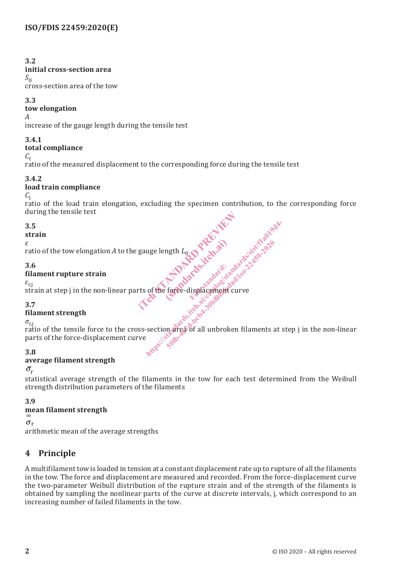#### **3.2**

#### **initial cross-section area**

 $S_0$ 

cross-section area of the tow

#### **3.3**

#### **tow elongation**

*A*

increase of the gauge length during the tensile test

#### **3.4.1**

**total compliance**

 $C_{\rm t}$ 

ratio of the measured displacement to the corresponding force during the tensile test

#### **3.4.2**

#### **load train compliance**

 $C<sub>1</sub>$ 

ratio of the load train elongation, excluding the specimen contribution, to the corresponding force during the tensile test

#### **3.5**

**strain**

#### *ε*

ratio of the tow elongation  $A$  to the gauge length  $L_{\stackrel{\scriptstyle{0}}{0}}$ 

#### **3.6**

#### **filament rupture strain**

*ε*r,j

strain at step j in the non-linear parts of the force-displacement curve **3.7** iTeh STANDARD PREVIEW mgth L<sub>0</sub> O PREV.ai)

### **filament strength**

 $\sigma_{r,i}$ 

 $\sigma_{r,j}$  and survey survey are a step in the non-linear ratio of the tensile force to the cross-section area of all unbroken filaments at step j in the non-linear parts of the force-displacement curve<br>3.8 withs:/ sometimes.org/with property.org/standards.item.com/sist/f1a019d4-<br>section dream catalogies of all unbroken filaments at states. ngth L<sub>0</sub>00 RNewside and designation 2459-2020<br>force-displacement curve<br>force-displacement curve<br>marga of all unbroken filaments

#### **3.8**

#### **average filament strength**

#### $\bar{\sigma}_{\rm r}$

statistical average strength of the filaments in the tow for each test determined from the Weibull strength distribution parameters of the filaments

#### **3.9**

### **mean filament strength**

 $\sigma$ <sub>r</sub>

arithmetic mean of the average strengths

### **4 Principle**

A multifilament tow is loaded in tension at a constant displacement rate up to rupture of all the filaments in the tow. The force and displacement are measured and recorded. From the force-displacement curve the two-parameter Weibull distribution of the rupture strain and of the strength of the filaments is obtained by sampling the nonlinear parts of the curve at discrete intervals, j, which correspond to an increasing number of failed filaments in the tow.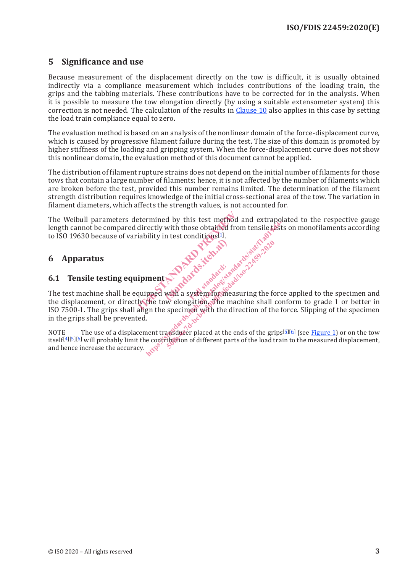#### **5 Significance and use**

Because measurement of the displacement directly on the tow is difficult, it is usually obtained indirectly via a compliance measurement which includes contributions of the loading train, the grips and the tabbing materials. These contributions have to be corrected for in the analysis. When it is possible to measure the tow elongation directly (by using a suitable extensometer system) this correction is not needed. The calculation of the results in Clause 10 also applies in this case by setting the load train compliance equal to zero.

The evaluation method is based on an analysis of the nonlinear domain of the force-displacement curve, which is caused by progressive filament failure during the test. The size of this domain is promoted by higher stiffness of the loading and gripping system. When the force-displacement curve does not show this nonlinear domain, the evaluation method of this document cannot be applied.

The distribution of filament rupture strains does not depend on the initial number of filaments for those tows that contain a large number of filaments; hence, it is not affected by the number of filaments which are broken before the test, provided this number remains limited. The determination of the filament strength distribution requires knowledge of the initial cross-sectional area of the tow. The variation in filament diameters, which affects the strength values, is not accounted for.

The Weibull parameters determined by this test method and extrapolated to the respective gauge length cannot be compared directly with those obtained from tensile tests on monofilaments according<br>to ISO 19630 because of variability in test conditions<sup>[1]</sup>. to ISO 19630 because of variability in test conditions[1]. etermined by this test method and<br>directly with those obtained from t<br>iability in test conditions<sup>[1]</sup>.<br>ipment<br> $\sum_{k} P_k$ <br>ipment<br>with a system for measuring with the direction

#### **6 Apparatus**

#### **6.1 Tensile testing equipment**

The test machine shall be equipped with a system for measuring the force applied to the specimen and the displacement, or directly the tow elongation. The machine shall conform to grade 1 or better in ISO 7500-1. The grips shall align the specimen with the direction of the force. Slipping of the specimen in the grips shall be prevented. in the grips shall be prevented. **External Property of Science Association** Hummed by this test this distance and stringer<br>in the conditions<sup>[1]</sup>.<br>in the conditions<sup>[1]</sup>.<br>**ment**<br> $\frac{1}{2}$ <br>**ment**<br> $\frac{1}{2}$ <br>**ment**<br> $\frac{1}{2}$ <br>**ment**<br> $\frac{1}{2}$ <br>**standards**<br> $\frac{1}{2}$ <br>**ment**<br> $\frac{1}{2}$ <br>**standards**<br> $\frac{1}{2}$ Experience of the ends of the gradient placed at the ends of the load the distribution of different parts of the load the gradience of the ends of the gradience of the ends of the gradience of different parts of the load t

NOTE The use of a displacement transducer placed at the ends of the grips<sup>[5][6]</sup> (see Figure 1) or on the tow itself<sup>[4][5][6]</sup> will probably limit the contribution of different parts of the load train to the measured displacement, and hence increase the accuracy.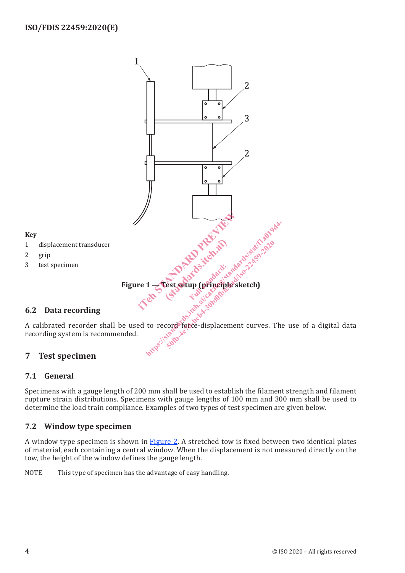

### **Key**

- 1 displacement transducer
- 2 grip
- 3 test specimen

#### **6.2 Data recording**

A calibrated recorder shall be used to record force-displacement curves. The use of a digital data recording system is recommended.

#### **7 Test specimen**

#### **7.1 General**

Specimens with a gauge length of 200 mm shall be used to establish the filament strength and filament rupture strain distributions. Specimens with gauge lengths of 100 mm and 300 mm shall be used to determine the load train compliance. Examples of two types of test specimen are given below.

#### **7.2 Window type specimen**

A window type specimen is shown in **Figure 2**. A stretched tow is fixed between two identical plates of material, each containing a central window. When the displacement is not measured directly on the tow, the height of the window defines the gauge length.

NOTE This type of specimen has the advantage of easy handling.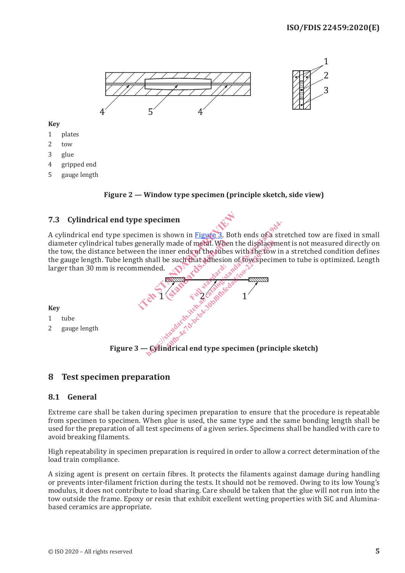

#### **Key**

- 1 plates
- 2 tow
- 3 glue
- 4 gripped end
- 5 gauge length

#### **Figure 2 — Window type specimen (principle sketch, side view)**

#### **7.3 Cylindrical end type specimen**

A cylindrical end type specimen is shown in Figure 3. Both ends of a stretched tow are fixed in small diameter cylindrical tubes generally made of metal. When the displacement is not measured directly on the tow, the distance between the inner ends of the tubes with the tow in a stretched condition defines the gauge length the tow, the distance between the inner ends of the tubes with the tow in a stretched condition defines the gauge length. Tube length shall be such that adhesion of tow specimen to tube is optimized. Length larger than 30 mm is recommended. internally made of metal. When the denomination of the things and the such that adhesion of the state with the shall be such that adhesion of the mended. Falandard: en is shown in Figure 3. Both ends of a street<br>lerally made of metal. When the displacement<br>the inner ends of the eubes with the tow in<br>shall be such that adhesion of towspecimen<br>anded.<br>and the state of the specifical of t made of metal. When the displace<br>ner ends of the tubes with the tow<br>e such that adhesion of tow specine<br>e such that adhesion of tow specine<br>specifical and tune specimen facing

**Key**

1 tube

2 gauge length



#### **8 Test specimen preparation**

#### **8.1 General**

Extreme care shall be taken during specimen preparation to ensure that the procedure is repeatable from specimen to specimen. When glue is used, the same type and the same bonding length shall be used for the preparation of all test specimens of a given series. Specimens shall be handled with care to avoid breaking filaments.

High repeatability in specimen preparation is required in order to allow a correct determination of the load train compliance.

A sizing agent is present on certain fibres. It protects the filaments against damage during handling or prevents inter-filament friction during the tests. It should not be removed. Owing to its low Young's modulus, it does not contribute to load sharing. Care should be taken that the glue will not run into the tow outside the frame. Epoxy or resin that exhibit excellent wetting properties with SiC and Aluminabased ceramics are appropriate.